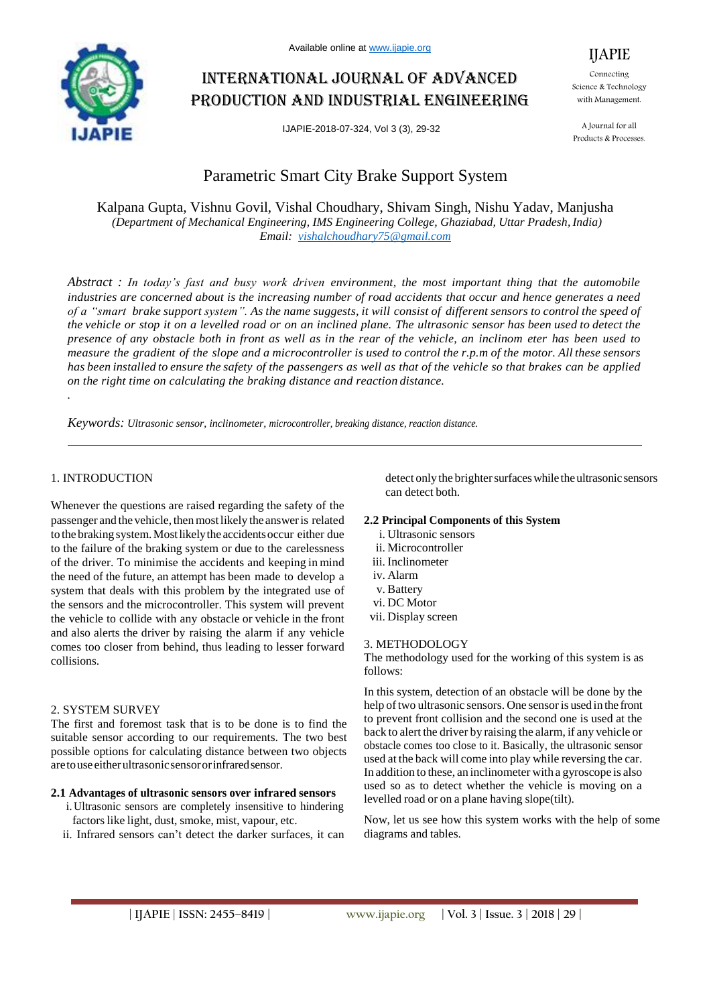

# International journal of advanced production and industrial engineering

IJAPIE-2018-07-324, Vol 3 (3), 29-32

#### Connecting Science & Technology with Management.

IJAPIE

A Journal for all Products & Processes.

## Parametric Smart City Brake Support System

Kalpana Gupta, Vishnu Govil, Vishal Choudhary, Shivam Singh, Nishu Yadav, Manjusha *(Department of Mechanical Engineering, IMS Engineering College, Ghaziabad, Uttar Pradesh, India) Email: vishalchoudhary75@gmail.com*

*Abstract : In today's fast and busy work driven environment, the most important thing that the automobile industries are concerned about is the increasing number of road accidents that occur and hence generates a need*  of a "smart brake support system". As the name suggests, it will consist of different sensors to control the speed of *the vehicle or stop it on a levelled road or on an inclined plane. The ultrasonic sensor has been used to detect the presence of any obstacle both in front as well as in the rear of the vehicle, an inclinom eter has been used to measure the gradient of the slope and a microcontroller is used to control the r.p.m of the motor. All these sensors* has been installed to ensure the safety of the passengers as well as that of the vehicle so that brakes can be applied *on the right time on calculating the braking distance and reaction distance. .* 

*Keywords: Ultrasonic sensor, inclinometer, microcontroller, breaking distance, reaction distance.*

## 1. INTRODUCTION

Whenever the questions are raised regarding the safety of the passenger and the vehicle, thenmostlikely the answeris related to the braking system.Mostlikelythe accidentsoccur either due to the failure of the braking system or due to the carelessness of the driver. To minimise the accidents and keeping in mind the need of the future, an attempt has been made to develop a system that deals with this problem by the integrated use of the sensors and the microcontroller. This system will prevent the vehicle to collide with any obstacle or vehicle in the front and also alerts the driver by raising the alarm if any vehicle comes too closer from behind, thus leading to lesser forward collisions.

#### 2. SYSTEM SURVEY

The first and foremost task that is to be done is to find the suitable sensor according to our requirements. The two best possible options for calculating distance between two objects aretouseeitherultrasonicsensororinfraredsensor.

#### **2.1 Advantages of ultrasonic sensors over infrared sensors**

- i.Ultrasonic sensors are completely insensitive to hindering factors like light, dust, smoke, mist, vapour, etc.
- ii. Infrared sensors can"t detect the darker surfaces, it can

detect only the brighter surfaces while the ultrasonic sensors can detect both.

#### **2.2 Principal Components of this System**

- i. Ultrasonic sensors
- ii. Microcontroller
- iii. Inclinometer
- iv. Alarm
- v. Battery
- vi. DC Motor
- vii. Display screen

#### 3. METHODOLOGY

The methodology used for the working of this system is as follows:

In this system, detection of an obstacle will be done by the help of two ultrasonic sensors. One sensor is used in the front to prevent front collision and the second one is used at the back to alert the driver by raising the alarm, if any vehicle or obstacle comes too close to it. Basically, the ultrasonic sensor used at the back will come into play while reversing the car. In addition to these, an inclinometer with a gyroscope is also used so as to detect whether the vehicle is moving on a levelled road or on a plane having slope(tilt).

Now, let us see how this system works with the help of some diagrams and tables.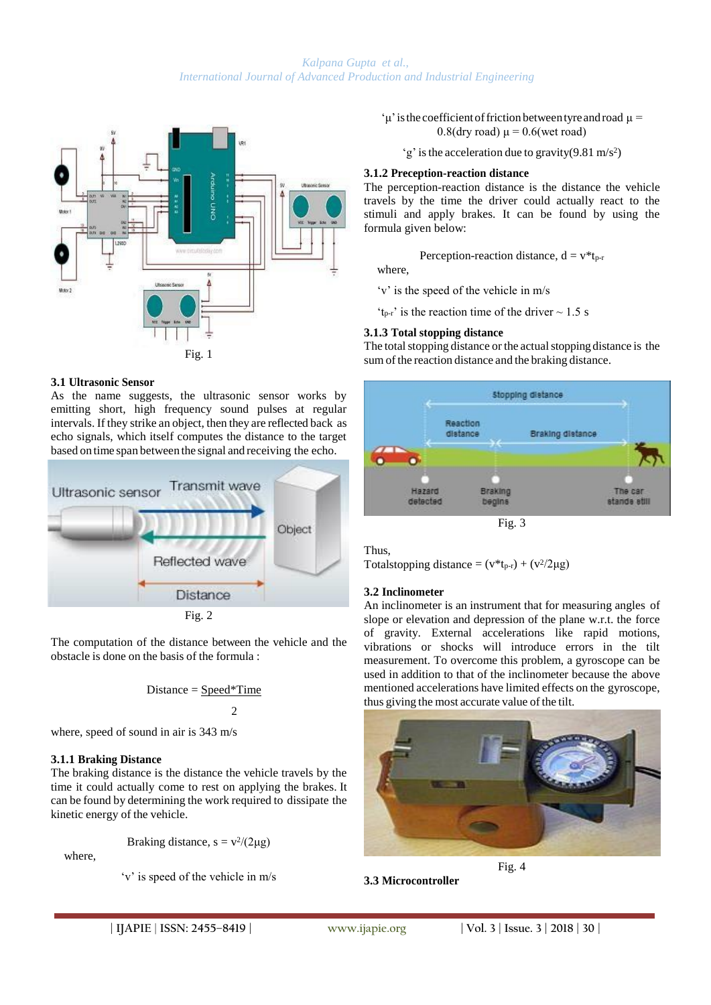#### *Kalpana Gupta et al., International Journal of Advanced Production and Industrial Engineering*



#### **3.1 Ultrasonic Sensor**

As the name suggests, the ultrasonic sensor works by emitting short, high frequency sound pulses at regular intervals. If they strike an object, then they are reflected back as echo signals, which itself computes the distance to the target based on time span between the signal and receiving the echo.



The computation of the distance between the vehicle and the obstacle is done on the basis of the formula :

$$
Distance = Speed*Time
$$
  
2

where, speed of sound in air is 343 m/s

#### **3.1.1 Braking Distance**

The braking distance is the distance the vehicle travels by the time it could actually come to rest on applying the brakes. It can be found by determining the work required to dissipate the kinetic energy of the vehicle.

Braking distance,  $s = v^2/(2\mu g)$ 

where,

'v' is speed of the vehicle in m/s

'u' is the coefficient of friction between tyre and road  $\mu$  =  $0.8$ (dry road)  $\mu$  = 0.6(wet road)

 $(g'$  is the acceleration due to gravity(9.81 m/s<sup>2</sup>)

## **3.1.2 Preception-reaction distance**

The perception-reaction distance is the distance the vehicle travels by the time the driver could actually react to the stimuli and apply brakes. It can be found by using the formula given below:

Perception-reaction distance,  $d = v * t_{p-r}$ 

where,

'v' is the speed of the vehicle in m/s

 $t_{\text{p-r}}$  is the reaction time of the driver  $\sim 1.5 \text{ s}$ 

## **3.1.3 Total stopping distance**

The total stopping distance or the actual stopping distance is the sum of the reaction distance and the braking distance.



Thus,

Totalstopping distance =  $(v^*t_{p-r}) + (v^2/2\mu g)$ 

## **3.2 Inclinometer**

An inclinometer is an instrument that for measuring angles of slope or elevation and depression of the plane w.r.t. the force of gravity. External accelerations like rapid motions, vibrations or shocks will introduce errors in the tilt measurement. To overcome this problem, a gyroscope can be used in addition to that of the inclinometer because the above mentioned accelerations have limited effects on the gyroscope, thus giving the most accurate value of the tilt.



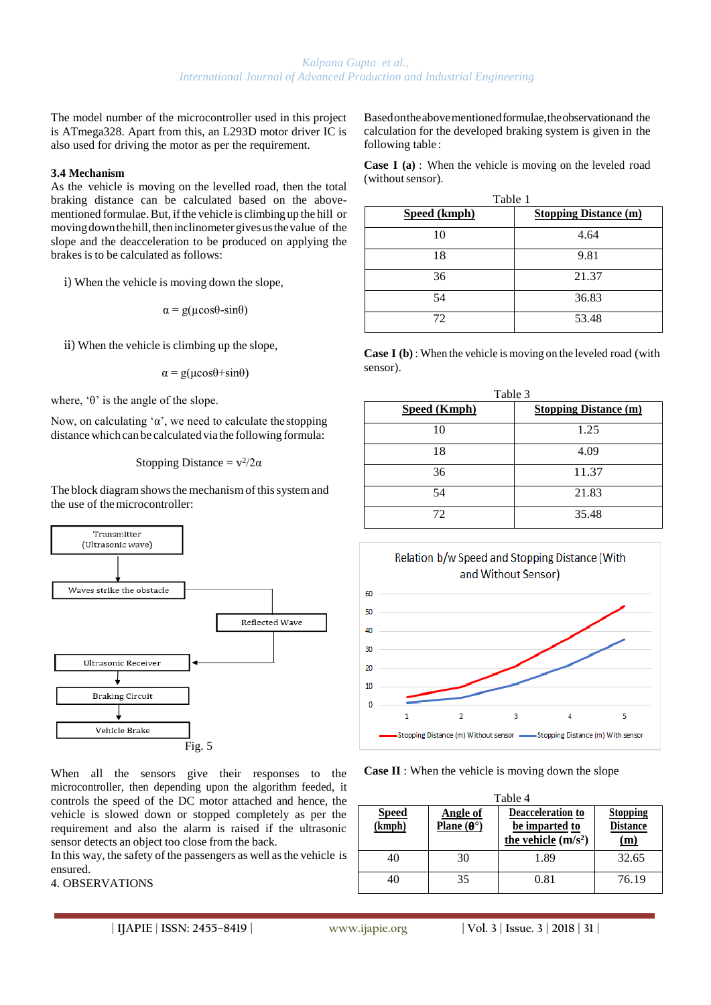The model number of the microcontroller used in this project is ATmega328. Apart from this, an L293D motor driver IC is also used for driving the motor as per the requirement.

#### **3.4 Mechanism**

As the vehicle is moving on the levelled road, then the total braking distance can be calculated based on the abovementioned formulae. But, if the vehicle is climbing up the hill or moving down the hill, then inclinometer gives us the value of the slope and the deacceleration to be produced on applying the brakes is to be calculated as follows:

i) When the vehicle is moving down the slope,

$$
\alpha = g(\mu \cos \theta - \sin \theta)
$$

ii) When the vehicle is climbing up the slope,

$$
\alpha = g(\mu \cos \theta + \sin \theta)
$$

where,  $\theta$  is the angle of the slope.

Now, on calculating ' $\alpha$ ', we need to calculate the stopping distance which can be calculated via the following formula:

Stopping Distance = 
$$
v^2/2\alpha
$$

The block diagram shows the mechanism of this system and the use of themicrocontroller:



When all the sensors give their responses to the microcontroller, then depending upon the algorithm feeded, it controls the speed of the DC motor attached and hence, the vehicle is slowed down or stopped completely as per the requirement and also the alarm is raised if the ultrasonic sensor detects an object too close from the back.

In this way, the safety of the passengers as well asthe vehicle is ensured.

## 4. OBSERVATIONS

Basedontheabovementionedformulae,theobservationand the calculation for the developed braking system is given in the following table :

**Case I (a)** : When the vehicle is moving on the leveled road (without sensor).

| Table 1             |                              |  |  |
|---------------------|------------------------------|--|--|
| <b>Speed (kmph)</b> | <b>Stopping Distance (m)</b> |  |  |
| 10                  | 4.64                         |  |  |
| 18                  | 9.81                         |  |  |
| 36                  | 21.37                        |  |  |
| 54                  | 36.83                        |  |  |
| 72                  | 53.48                        |  |  |

**Case I (b)** : When the vehicle is moving on the leveled road (with sensor).

| Table 3             |                              |  |  |
|---------------------|------------------------------|--|--|
| <b>Speed (Kmph)</b> | <b>Stopping Distance (m)</b> |  |  |
| 10                  | 1.25                         |  |  |
| 18                  | 4.09                         |  |  |
| 36                  | 11.37                        |  |  |
| 54                  | 21.83                        |  |  |
| 72                  | 35.48                        |  |  |



**Case II** : When the vehicle is moving down the slope

| Table 4                |                                                        |                                                             |                                           |  |
|------------------------|--------------------------------------------------------|-------------------------------------------------------------|-------------------------------------------|--|
| <b>Speed</b><br>(kmph) | Angle of<br><b>Plane</b> ( $\mathbf{\Theta}^{\circ}$ ) | Deacceleration to<br>be imparted to<br>the vehicle $(m/s2)$ | <b>Stopping</b><br><b>Distance</b><br>(m) |  |
| 40                     | 30                                                     | 1.89                                                        | 32.65                                     |  |
| 40                     | 35                                                     | 0.81                                                        | 76.19                                     |  |